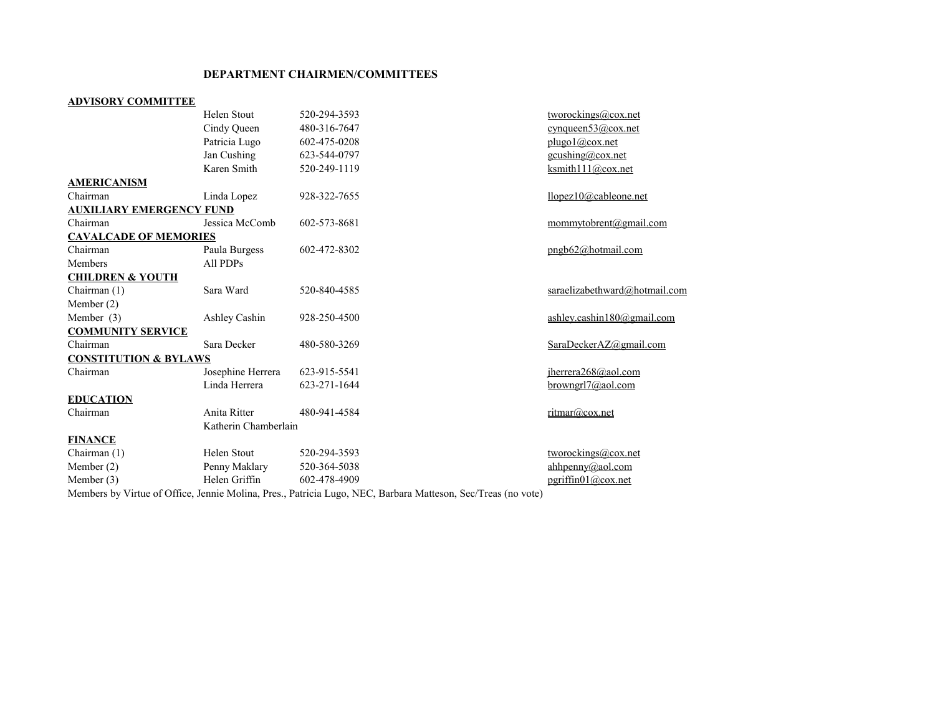## **DEPARTMENT CHAIRMEN/COMMITTEES**

## **ADVISORY COMMITTEE**

|                                  | Helen Stout          | 520-294-3593                                                                                              | tworockings@cox.net           |
|----------------------------------|----------------------|-----------------------------------------------------------------------------------------------------------|-------------------------------|
|                                  | Cindy Queen          | 480-316-7647                                                                                              | cynqueen 53@cox.net           |
|                                  | Patricia Lugo        | 602-475-0208                                                                                              | plugol@cov.net                |
|                                  | Jan Cushing          | 623-544-0797                                                                                              | gcushing@cox.net              |
|                                  | Karen Smith          | 520-249-1119                                                                                              | ksmith111@cox.net             |
| <b>AMERICANISM</b>               |                      |                                                                                                           |                               |
| Chairman                         | Linda Lopez          | 928-322-7655                                                                                              | llopez10@cableone.net         |
| <b>AUXILIARY EMERGENCY FUND</b>  |                      |                                                                                                           |                               |
| Chairman                         | Jessica McComb       | 602-573-8681                                                                                              | mommytobrent@gmail.com        |
| <b>CAVALCADE OF MEMORIES</b>     |                      |                                                                                                           |                               |
| Chairman                         | Paula Burgess        | 602-472-8302                                                                                              | pngb62@hotmail.com            |
| Members                          | All PDPs             |                                                                                                           |                               |
| <b>CHILDREN &amp; YOUTH</b>      |                      |                                                                                                           |                               |
| Chairman (1)                     | Sara Ward            | 520-840-4585                                                                                              | saraelizabethward@hotmail.com |
| Member $(2)$                     |                      |                                                                                                           |                               |
| Member (3)                       | Ashley Cashin        | 928-250-4500                                                                                              | ashley.cashin180@gmail.com    |
| <b>COMMUNITY SERVICE</b>         |                      |                                                                                                           |                               |
| Chairman                         | Sara Decker          | 480-580-3269                                                                                              | SaraDeckerAZ@gmail.com        |
| <b>CONSTITUTION &amp; BYLAWS</b> |                      |                                                                                                           |                               |
| Chairman                         | Josephine Herrera    | 623-915-5541                                                                                              | iherrera268@aol.com           |
|                                  | Linda Herrera        | 623-271-1644                                                                                              | browngr17@aol.com             |
| <b>EDUCATION</b>                 |                      |                                                                                                           |                               |
| Chairman                         | Anita Ritter         | 480-941-4584                                                                                              | ritmar@cov.net                |
|                                  | Katherin Chamberlain |                                                                                                           |                               |
| <b>FINANCE</b>                   |                      |                                                                                                           |                               |
| Chairman (1)                     | Helen Stout          | 520-294-3593                                                                                              | tworockings@cox.net           |
| Member $(2)$                     | Penny Maklary        | 520-364-5038                                                                                              | ahhpenny@aol.com              |
| Member $(3)$                     | Helen Griffin        | 602-478-4909                                                                                              | pgriffin01@cov.net            |
|                                  |                      | Mambaga by Vinty of Office Jannia Maline, Duce, Detricia Lyos, NEC, Derhaus Matteson, Sae/Tuess (no yets) |                               |

Members by Virtue of Office, Jennie Molina, Pres., Patricia Lugo, NEC, Barbara Matteson, Sec/Treas (no vote)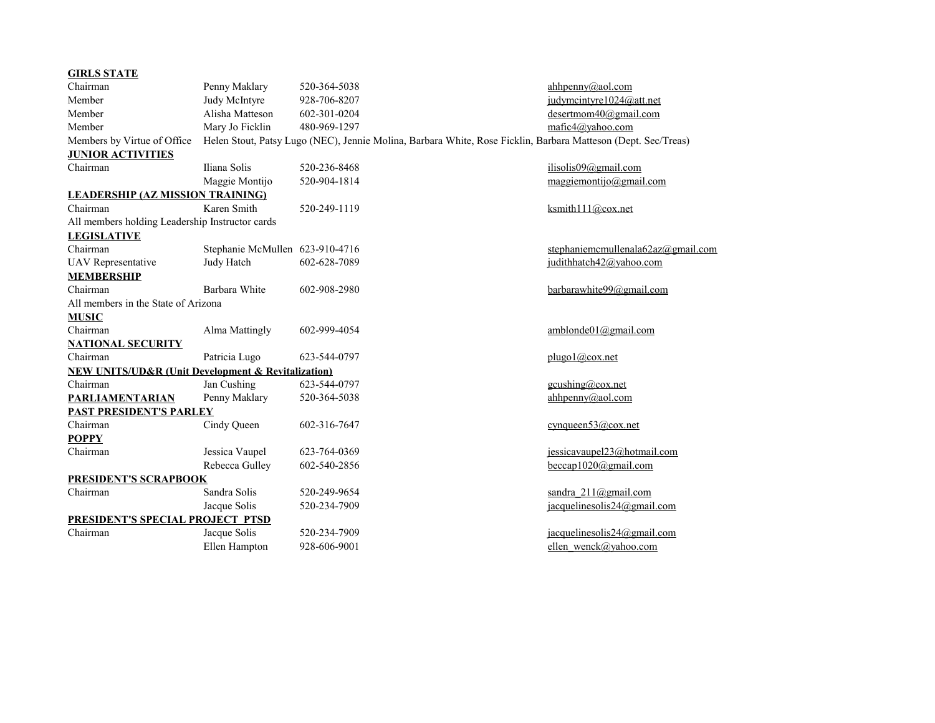| <b>GIRLS STATE</b>                                                |                                 |                                                                                                               |                                    |  |  |
|-------------------------------------------------------------------|---------------------------------|---------------------------------------------------------------------------------------------------------------|------------------------------------|--|--|
| Chairman                                                          | Penny Maklary                   | 520-364-5038                                                                                                  | ahhpenny@aol.com                   |  |  |
| Member                                                            | Judy McIntyre                   | 928-706-8207                                                                                                  | judymcintyre1024@att.net           |  |  |
| Member                                                            | Alisha Matteson                 | 602-301-0204                                                                                                  | desertmom40@gmail.com              |  |  |
| Member                                                            | Mary Jo Ficklin                 | 480-969-1297                                                                                                  | mafic4@yahoo.com                   |  |  |
| Members by Virtue of Office                                       |                                 | Helen Stout, Patsy Lugo (NEC), Jennie Molina, Barbara White, Rose Ficklin, Barbara Matteson (Dept. Sec/Treas) |                                    |  |  |
| <b>JUNIOR ACTIVITIES</b>                                          |                                 |                                                                                                               |                                    |  |  |
| Chairman                                                          | Iliana Solis                    | 520-236-8468                                                                                                  | ilisolis09@gmail.com               |  |  |
|                                                                   | Maggie Montijo                  | 520-904-1814                                                                                                  | maggiemontijo@gmail.com            |  |  |
| <b>LEADERSHIP (AZ MISSION TRAINING)</b>                           |                                 |                                                                                                               |                                    |  |  |
| Chairman                                                          | Karen Smith                     | 520-249-1119                                                                                                  | ksmith $11@cov.net$                |  |  |
| All members holding Leadership Instructor cards                   |                                 |                                                                                                               |                                    |  |  |
| <b>LEGISLATIVE</b>                                                |                                 |                                                                                                               |                                    |  |  |
| Chairman                                                          | Stephanie McMullen 623-910-4716 |                                                                                                               | stephaniemcmullenala62az@gmail.com |  |  |
| <b>UAV</b> Representative                                         | Judy Hatch                      | 602-628-7089                                                                                                  | judithhatch42@yahoo.com            |  |  |
| <b>MEMBERSHIP</b>                                                 |                                 |                                                                                                               |                                    |  |  |
| Chairman                                                          | Barbara White                   | 602-908-2980                                                                                                  | barbarawhite99@gmail.com           |  |  |
| All members in the State of Arizona                               |                                 |                                                                                                               |                                    |  |  |
| <b>MUSIC</b>                                                      |                                 |                                                                                                               |                                    |  |  |
| Chairman                                                          | Alma Mattingly                  | 602-999-4054                                                                                                  | amblonde $01@g$ mail.com           |  |  |
| <b>NATIONAL SECURITY</b>                                          |                                 |                                                                                                               |                                    |  |  |
| Chairman                                                          | Patricia Lugo                   | 623-544-0797                                                                                                  | plugol@cov.net                     |  |  |
| <b>NEW UNITS/UD&amp;R (Unit Development &amp; Revitalization)</b> |                                 |                                                                                                               |                                    |  |  |
| Chairman                                                          | Jan Cushing                     | 623-544-0797                                                                                                  | gcushing@cox.net                   |  |  |
| <b>PARLIAMENTARIAN</b>                                            | Penny Maklary                   | 520-364-5038                                                                                                  | ahhpenny@aol.com                   |  |  |
| PAST PRESIDENT'S PARLEY                                           |                                 |                                                                                                               |                                    |  |  |
| Chairman                                                          | Cindy Queen                     | 602-316-7647                                                                                                  | $c$ ynqueen $53@cov.net$           |  |  |
| <b>POPPY</b>                                                      |                                 |                                                                                                               |                                    |  |  |
| Chairman                                                          | Jessica Vaupel                  | 623-764-0369                                                                                                  | jessicavaupel23@hotmail.com        |  |  |
|                                                                   | Rebecca Gulley                  | 602-540-2856                                                                                                  | $beccap1020$ @gmail.com            |  |  |
| PRESIDENT'S SCRAPBOOK                                             |                                 |                                                                                                               |                                    |  |  |
| Chairman                                                          | Sandra Solis                    | 520-249-9654                                                                                                  | sandra $211$ (@gmail.com           |  |  |
|                                                                   | Jacque Solis                    | 520-234-7909                                                                                                  | jacquelinesolis24@gmail.com        |  |  |
| PRESIDENT'S SPECIAL PROJECT PTSD                                  |                                 |                                                                                                               |                                    |  |  |
| Chairman                                                          | Jacque Solis                    | 520-234-7909                                                                                                  | jacquelinesolis24@gmail.com        |  |  |
|                                                                   | Ellen Hampton                   | 928-606-9001                                                                                                  | ellen wenck@yahoo.com              |  |  |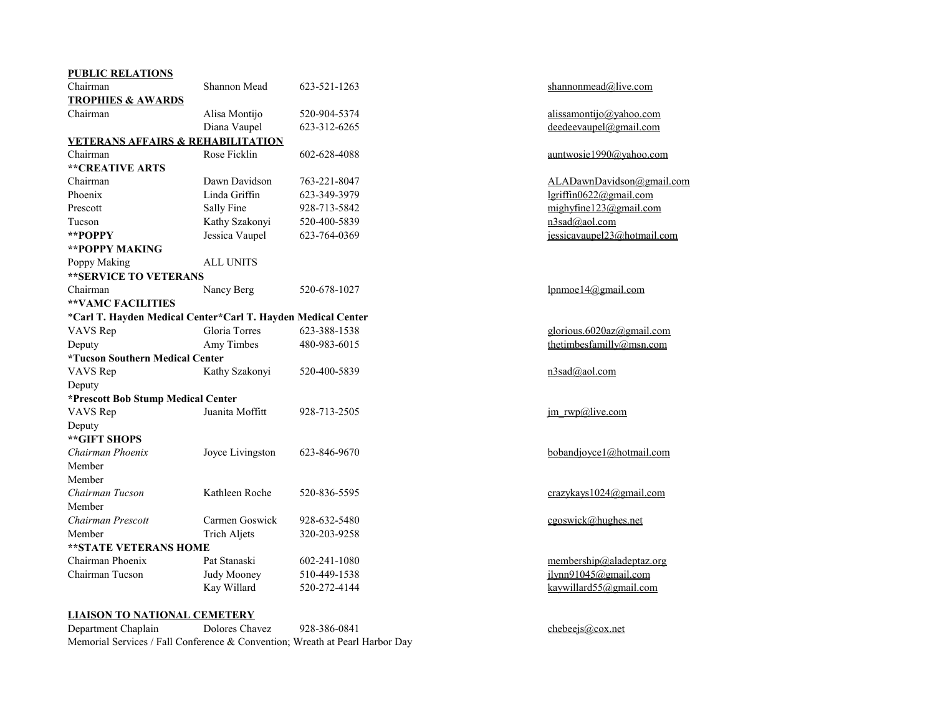| <b>PUBLIC RELATIONS</b>                                      |                     |              |                             |
|--------------------------------------------------------------|---------------------|--------------|-----------------------------|
| Chairman                                                     | Shannon Mead        | 623-521-1263 | shannonmead@live.com        |
| <b>TROPHIES &amp; AWARDS</b>                                 |                     |              |                             |
| Chairman                                                     | Alisa Montijo       | 520-904-5374 | alissamontijo@yahoo.com     |
|                                                              | Diana Vaupel        | 623-312-6265 | deedeevaupel@gmail.com      |
| <b>VETERANS AFFAIRS &amp; REHABILITATION</b>                 |                     |              |                             |
| Chairman                                                     | Rose Ficklin        | 602-628-4088 | auntwosie1990@yahoo.com     |
| <b>**CREATIVE ARTS</b>                                       |                     |              |                             |
| Chairman                                                     | Dawn Davidson       | 763-221-8047 | ALADawnDavidson@gmail.com   |
| Phoenix                                                      | Linda Griffin       | 623-349-3979 | lgriffin0622@gmail.com      |
| Prescott                                                     | Sally Fine          | 928-713-5842 | mighyfine123@gmail.com      |
| Tucson                                                       | Kathy Szakonyi      | 520-400-5839 | n3sad@aol.com               |
| **POPPY                                                      | Jessica Vaupel      | 623-764-0369 | jessicavaupel23@hotmail.com |
| **POPPY MAKING                                               |                     |              |                             |
| Poppy Making                                                 | <b>ALL UNITS</b>    |              |                             |
| <b>**SERVICE TO VETERANS</b>                                 |                     |              |                             |
| Chairman                                                     | Nancy Berg          | 520-678-1027 | lpmmoe14@gmail.com          |
| <b>**VAMC FACILITIES</b>                                     |                     |              |                             |
| *Carl T. Hayden Medical Center*Carl T. Hayden Medical Center |                     |              |                             |
| VAVS Rep                                                     | Gloria Torres       | 623-388-1538 | glorious.6020az@gmail.com   |
| Deputy                                                       | Amy Timbes          | 480-983-6015 | thetimbesfamilly@msn.com    |
| <i><b>*Tucson Southern Medical Center</b></i>                |                     |              |                             |
| VAVS Rep                                                     | Kathy Szakonyi      | 520-400-5839 | n3sad@aol.com               |
| Deputy                                                       |                     |              |                             |
| *Prescott Bob Stump Medical Center                           |                     |              |                             |
| VAVS Rep                                                     | Juanita Moffitt     | 928-713-2505 | im rwp@live.com             |
| Deputy                                                       |                     |              |                             |
| **GIFT SHOPS                                                 |                     |              |                             |
| Chairman Phoenix                                             | Joyce Livingston    | 623-846-9670 | bobandjoyce1@hotmail.com    |
| Member                                                       |                     |              |                             |
| Member                                                       |                     |              |                             |
| Chairman Tucson                                              | Kathleen Roche      | 520-836-5595 | crazykays1024@gmail.com     |
| Member                                                       |                     |              |                             |
| Chairman Prescott                                            | Carmen Goswick      | 928-632-5480 | cgoswick@hughes.net         |
| Member                                                       | <b>Trich Aljets</b> | 320-203-9258 |                             |
| <b>**STATE VETERANS HOME</b>                                 |                     |              |                             |
| Chairman Phoenix                                             | Pat Stanaski        | 602-241-1080 | membership@aladeptaz.org    |
| Chairman Tucson                                              | Judy Mooney         | 510-449-1538 | jlynn91045@gmail.com        |
|                                                              | Kay Willard         | 520-272-4144 | kaywillard55@gmail.com      |
|                                                              |                     |              |                             |

**LIAISON TO NATIONAL CEMETERY**<br>Department Chaplain Dolores Chavez Department Chaplain Dolores Chavez 928-386-0841 chebeejs@cox.net Memorial Services / Fall Conference & Convention; Wreath at Pearl Harbor Day

| shannonmead@live.com                                                                                                          |
|-------------------------------------------------------------------------------------------------------------------------------|
| alissamontijo@yahoo.com<br>deedeevaupel@gmail.com                                                                             |
| auntwosie1990@yahoo.com                                                                                                       |
| ALADawnDavidson@gmail.con<br>lgriffin0622@gmail.com<br>mighyfine123@gmail.com<br>n3sad@aol.com<br>jessicavaupel23@hotmail.com |
| lpmmoe14@gmail.com                                                                                                            |
| glorious.6020az@gmail.com<br>thetimbesfamilly@msn.com                                                                         |
| n3sad@aol.com                                                                                                                 |
| im rwp@live.com                                                                                                               |
| bobandjoyce1@hotmail.com                                                                                                      |
| crazykays1024@gmail.com                                                                                                       |
| cgoswick@hughes.net                                                                                                           |
| membership@aladeptaz.org<br>ilynn91045@gmail.com<br>kaywillard55@gmail.com                                                    |
|                                                                                                                               |